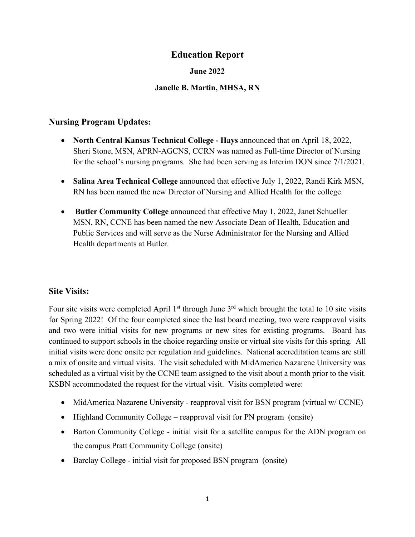# **Education Report**

## **June 2022**

## **Janelle B. Martin, MHSA, RN**

## **Nursing Program Updates:**

- **North Central Kansas Technical College - Hays** announced that on April 18, 2022, Sheri Stone, MSN, APRN-AGCNS, CCRN was named as Full-time Director of Nursing for the school's nursing programs. She had been serving as Interim DON since 7/1/2021.
- **Salina Area Technical College** announced that effective July 1, 2022, Randi Kirk MSN, RN has been named the new Director of Nursing and Allied Health for the college.
- **Butler Community College** announced that effective May 1, 2022, Janet Schueller MSN, RN, CCNE has been named the new Associate Dean of Health, Education and Public Services and will serve as the Nurse Administrator for the Nursing and Allied Health departments at Butler.

## **Site Visits:**

Four site visits were completed April  $1<sup>st</sup>$  through June  $3<sup>rd</sup>$  which brought the total to 10 site visits for Spring 2022! Of the four completed since the last board meeting, two were reapproval visits and two were initial visits for new programs or new sites for existing programs. Board has continued to support schools in the choice regarding onsite or virtual site visits for this spring. All initial visits were done onsite per regulation and guidelines. National accreditation teams are still a mix of onsite and virtual visits. The visit scheduled with MidAmerica Nazarene University was scheduled as a virtual visit by the CCNE team assigned to the visit about a month prior to the visit. KSBN accommodated the request for the virtual visit. Visits completed were:

- MidAmerica Nazarene University reapproval visit for BSN program (virtual w/ CCNE)
- Highland Community College reapproval visit for PN program (onsite)
- Barton Community College initial visit for a satellite campus for the ADN program on the campus Pratt Community College (onsite)
- Barclay College initial visit for proposed BSN program (onsite)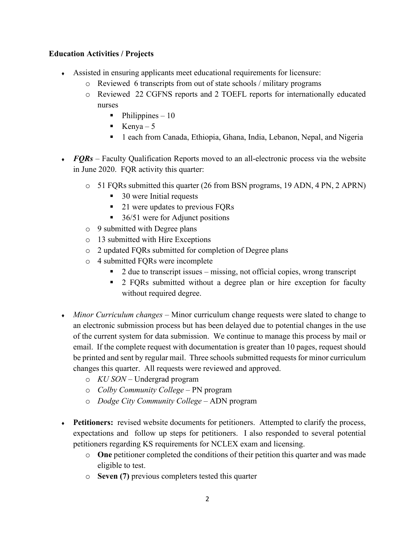## **Education Activities / Projects**

- ♦ Assisted in ensuring applicants meet educational requirements for licensure:
	- o Reviewed 6 transcripts from out of state schools / military programs
	- o Reviewed 22 CGFNS reports and 2 TOEFL reports for internationally educated nurses
		- $\blacksquare$  Philippines 10
		- **Kenya** 5
		- 1 each from Canada, Ethiopia, Ghana, India, Lebanon, Nepal, and Nigeria
- *FQRs* Faculty Qualification Reports moved to an all-electronic process via the website in June 2020. FQR activity this quarter:
	- $\circ$  51 FQRs submitted this quarter (26 from BSN programs, 19 ADN, 4 PN, 2 APRN)
		- 30 were Initial requests
		- 21 were updates to previous FQRs
		- $\blacksquare$  36/51 were for Adjunct positions
	- o 9 submitted with Degree plans
	- o 13 submitted with Hire Exceptions
	- o 2 updated FQRs submitted for completion of Degree plans
	- o 4 submitted FQRs were incomplete
		- $\blacksquare$  2 due to transcript issues missing, not official copies, wrong transcript
		- **2** FQRs submitted without a degree plan or hire exception for faculty without required degree.
- ♦ *Minor Curriculum changes*  Minor curriculum change requests were slated to change to an electronic submission process but has been delayed due to potential changes in the use of the current system for data submission. We continue to manage this process by mail or email. If the complete request with documentation is greater than 10 pages, request should be printed and sent by regular mail. Three schools submitted requests for minor curriculum changes this quarter. All requests were reviewed and approved.
	- o *KU SON*  Undergrad program
	- o *Colby Community College –* PN program
	- o *Dodge City Community College –* ADN program
- Petitioners: revised website documents for petitioners. Attempted to clarify the process, expectations and follow up steps for petitioners. I also responded to several potential petitioners regarding KS requirements for NCLEX exam and licensing.
	- o **One** petitioner completed the conditions of their petition this quarter and was made eligible to test.
	- o **Seven (7)** previous completers tested this quarter